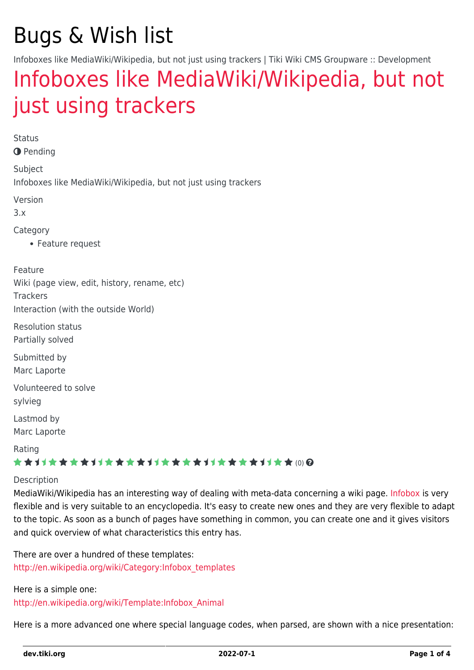# Bugs & Wish list

Infoboxes like MediaWiki/Wikipedia, but not just using trackers | Tiki Wiki CMS Groupware :: Development

## [Infoboxes like MediaWiki/Wikipedia, but not](https://dev.tiki.org/item1843-Infoboxes-like-MediaWiki-Wikipedia-but-not-just-using-trackers) [just using trackers](https://dev.tiki.org/item1843-Infoboxes-like-MediaWiki-Wikipedia-but-not-just-using-trackers)

Status **O** Pending Subject Infoboxes like MediaWiki/Wikipedia, but not just using trackers Version 3.x Category Feature request Feature Wiki (page view, edit, history, rename, etc) **Trackers** Interaction (with the outside World) Resolution status Partially solved Submitted by Marc Laporte Volunteered to solve sylvieg Lastmod by Marc Laporte Rating \*\*\*\*\*\*\*\*\*\*\*\*\*\*\*\*\*\*\*\*\*\*\*\*\*\*\*\*\*\*

#### Description

MediaWiki/Wikipedia has an interesting way of dealing with meta-data concerning a wiki page. [Infobox](http://en.wikipedia.org/wiki/Help:Infobox) is very flexible and is very suitable to an encyclopedia. It's easy to create new ones and they are very flexible to adapt to the topic. As soon as a bunch of pages have something in common, you can create one and it gives visitors and quick overview of what characteristics this entry has.

There are over a hundred of these templates: [http://en.wikipedia.org/wiki/Category:Infobox\\_templates](http://en.wikipedia.org/wiki/Category:Infobox_templates)

Here is a simple one: [http://en.wikipedia.org/wiki/Template:Infobox\\_Animal](http://en.wikipedia.org/wiki/Template:Infobox_Animal)

Here is a more advanced one where special language codes, when parsed, are shown with a nice presentation: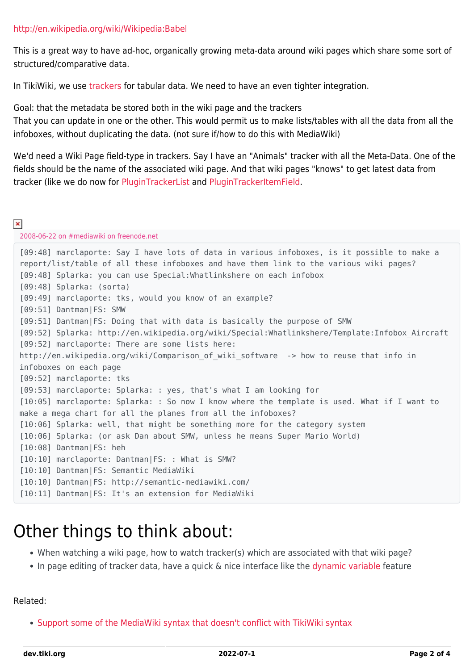This is a great way to have ad-hoc, organically growing meta-data around wiki pages which share some sort of structured/comparative data.

In TikiWiki, we use [trackers](http://doc.tiki.org/trackers) for tabular data. We need to have an even tighter integration.

Goal: that the metadata be stored both in the wiki page and the trackers

That you can update in one or the other. This would permit us to make lists/tables with all the data from all the infoboxes, without duplicating the data. (not sure if/how to do this with MediaWiki)

We'd need a Wiki Page field-type in trackers. Say I have an "Animals" tracker with all the Meta-Data. One of the fields should be the name of the associated wiki page. And that wiki pages "knows" to get latest data from tracker (like we do now for [PluginTrackerList](http://doc.tiki.org/PluginTrackerList) and [PluginTrackerItemField.](http://doc.tiki.org/PluginTrackerItemField)

#### $\pmb{\times}$

2008-06-22 on #mediawiki on freenode.net

```
[09:48] marclaporte: Say I have lots of data in various infoboxes, is it possible to make a
report/list/table of all these infoboxes and have them link to the various wiki pages?
[09:48] Splarka: you can use Special:Whatlinkshere on each infobox
[09:48] Splarka: (sorta)
[09:49] marclaporte: tks, would you know of an example?
[09:51] Dantman|FS: SMW
[09:51] Dantman|FS: Doing that with data is basically the purpose of SMW
[09:52] Splarka: http://en.wikipedia.org/wiki/Special:Whatlinkshere/Template:Infobox_Aircraft
[09:52] marclaporte: There are some lists here:
http://en.wikipedia.org/wiki/Comparison of wiki software -> how to reuse that info in
infoboxes on each page
[09:52] marclaporte: tks
[09:53] marclaporte: Splarka: : yes, that's what I am looking for
[10:05] marclaporte: Splarka: : So now I know where the template is used. What if I want to
make a mega chart for all the planes from all the infoboxes?
[10:06] Splarka: well, that might be something more for the category system
[10:06] Splarka: (or ask Dan about SMW, unless he means Super Mario World)
[10:08] Dantman|FS: heh
[10:10] marclaporte: Dantman|FS: : What is SMW?
[10:10] Dantman|FS: Semantic MediaWiki
[10:10] Dantman|FS: http://semantic-mediawiki.com/
[10:11] Dantman|FS: It's an extension for MediaWiki
```
## Other things to think about:

- When watching a wiki page, how to watch tracker(s) which are associated with that wiki page?
- In page editing of tracker data, have a quick & nice interface like the [dynamic variable](http://doc.tiki.org/dynamic%20variable) feature

#### Related:

• [Support some of the MediaWiki syntax that doesn't conflict with TikiWiki syntax](https://dev.tiki.org/wish2102)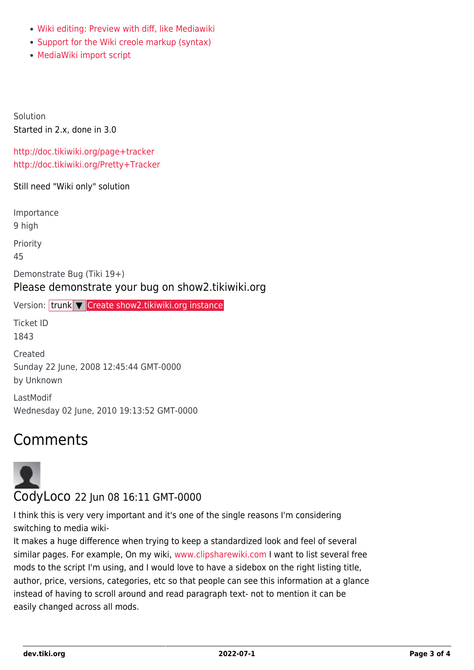- [Wiki editing: Preview with diff, like Mediawiki](https://dev.tiki.org/wish1191)
- [Support for the Wiki creole markup \(syntax\)](https://dev.tiki.org/wish1781)
- [MediaWiki import script](https://dev.tiki.org/wish1220)

Solution Started in 2.x, done in 3.0

<http://doc.tikiwiki.org/page+tracker> <http://doc.tikiwiki.org/Pretty+Tracker>

Still need "Wiki only" solution

Importance

9 high

Priority

45

Demonstrate Bug (Tiki 19+)

#### Please demonstrate your bug on show2.tikiwiki.org

Version: trunk ▼ [Create show2.tikiwiki.org instance](#page--1-0)

Ticket ID 1843

Created Sunday 22 June, 2008 12:45:44 GMT-0000 by Unknown

LastModif Wednesday 02 June, 2010 19:13:52 GMT-0000

### Comments



I think this is very very important and it's one of the single reasons I'm considering switching to media wiki-

It makes a huge difference when trying to keep a standardized look and feel of several similar pages. For example, On my wiki, [www.clipsharewiki.com](http://www.clipsharewiki.com) I want to list several free mods to the script I'm using, and I would love to have a sidebox on the right listing title, author, price, versions, categories, etc so that people can see this information at a glance instead of having to scroll around and read paragraph text- not to mention it can be easily changed across all mods.